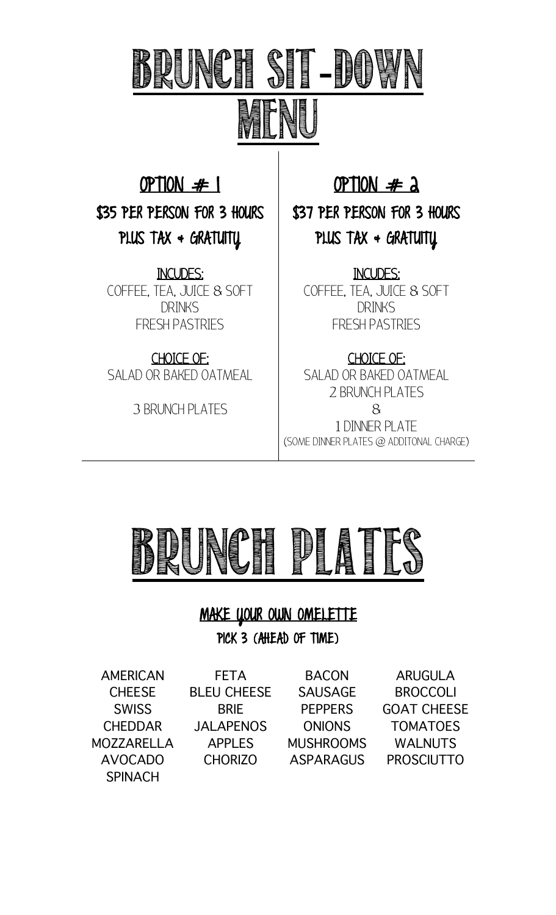# BRUNCH SH-DUN MENUS AND STRUCTURE OF THE CONTROL OF THE CONTROL OF THE CONTROL OF THE CONTROL OF THE CONTROL OF THE CONTROL OF THE CONTROL OF THE CONTROL OF THE CONTROL OF THE CONTROL OF THE CONTROL OF THE CONTROL OF THE CONTROL OF THE

OPTION  $#$  1 \$35 PER PERSON FOR 3 HOURS PLUS TAX  $\triangleleft$  GRATUITY

INCUDES: COFFEE, TEA, JUICE & SOFT DRINKS FRESH PASTRIES

CHOICE OF: SALAD OR BAKED OATMEAL

3 BRUNCH PLATES

OPTION  $# a$ 

\$37 PER PERSON FOR 3 HOURS PLUS TAX  $\triangleleft$  GRATUITY

INCUDES: COFFEE, TEA, JUICE & SOFT DRINKS FRESH PASTRIES

CHOICE OF: SALAD OR BAKED OATMEAL 2 BRUNCH PLATES & 1 DINNER PLATE (SOME DINNER PLATES @ ADDITONAL CHARGE)



## MAKE YOUR OWN OMELETTE

PICK 3 (AHEAD OF TIME)

AMERICAN CHEESE **SWISS** CHEDDAR MOZZARELLA AVOCADO **SPINACH** 

FETA BLEU CHEESE BRIE JALAPENOS APPLES

BACON SAUSAGE PEPPERS **ONIONS** MUSHROOMS

CHORIZO ASPARAGUS PROSCIUTTO ARUGULA **BROCCOLI** GOAT CHEESE TOMATOES WALNUTS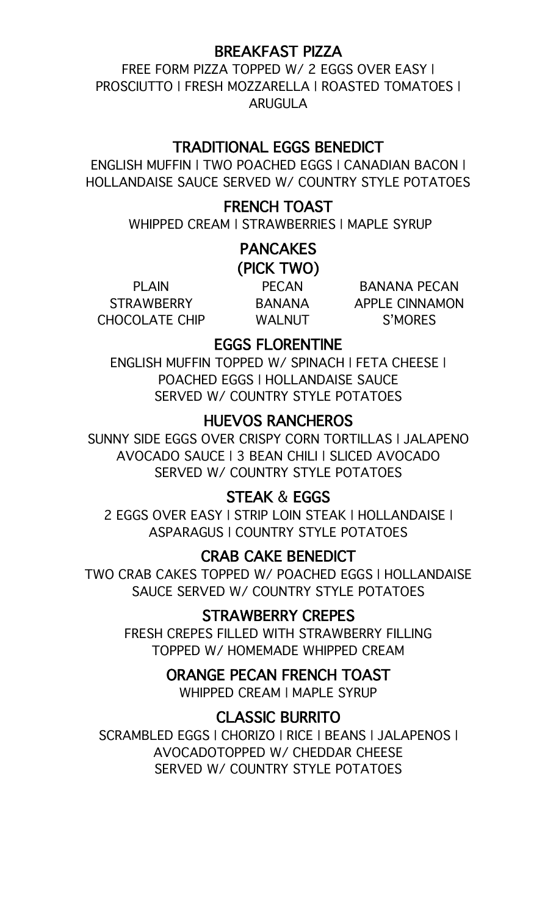#### BREAKFAST PIZZA

FREE FORM PIZZA TOPPED W/ 2 EGGS OVER EASY | PROSCIUTTO | FRESH MOZZARELLA | ROASTED TOMATOES | ARUGULA

#### TRADITIONAL EGGS BENEDICT

ENGLISH MUFFIN | TWO POACHED EGGS | CANADIAN BACON | HOLLANDAISE SAUCE SERVED W/ COUNTRY STYLE POTATOES

#### FRENCH TOAST

WHIPPED CREAM | STRAWBERRIES | MAPLE SYRUP

#### **PANCAKES** (PICK TWO)

PLAIN **STRAWBERRY** CHOCOLATE CHIP

PECAN BANANA WALNUT

BANANA PECAN APPLE CINNAMON S'MORES

### EGGS FLORENTINE

ENGLISH MUFFIN TOPPED W/ SPINACH | FETA CHEESE | POACHED EGGS | HOLLANDAISE SAUCE SERVED W/ COUNTRY STYLE POTATOES

## HUEVOS RANCHEROS

SUNNY SIDE EGGS OVER CRISPY CORN TORTILLAS | JALAPENO AVOCADO SAUCE | 3 BEAN CHILI | SLICED AVOCADO SERVED W/ COUNTRY STYLE POTATOES

## STEAK & EGGS

2 EGGS OVER EASY | STRIP LOIN STEAK | HOLLANDAISE | ASPARAGUS | COUNTRY STYLE POTATOES

#### CRAB CAKE BENEDICT

TWO CRAB CAKES TOPPED W/ POACHED EGGS | HOLLANDAISE SAUCE SERVED W/ COUNTRY STYLE POTATOES

## STRAWBERRY CREPES

FRESH CREPES FILLED WITH STRAWBERRY FILLING TOPPED W/ HOMEMADE WHIPPED CREAM

#### ORANGE PECAN FRENCH TOAST

WHIPPED CREAM | MAPLE SYRUP

## CLASSIC BURRITO

SCRAMBLED EGGS | CHORIZO | RICE | BEANS | JALAPENOS | AVOCADOTOPPED W/ CHEDDAR CHEESE SERVED W/ COUNTRY STYLE POTATOES